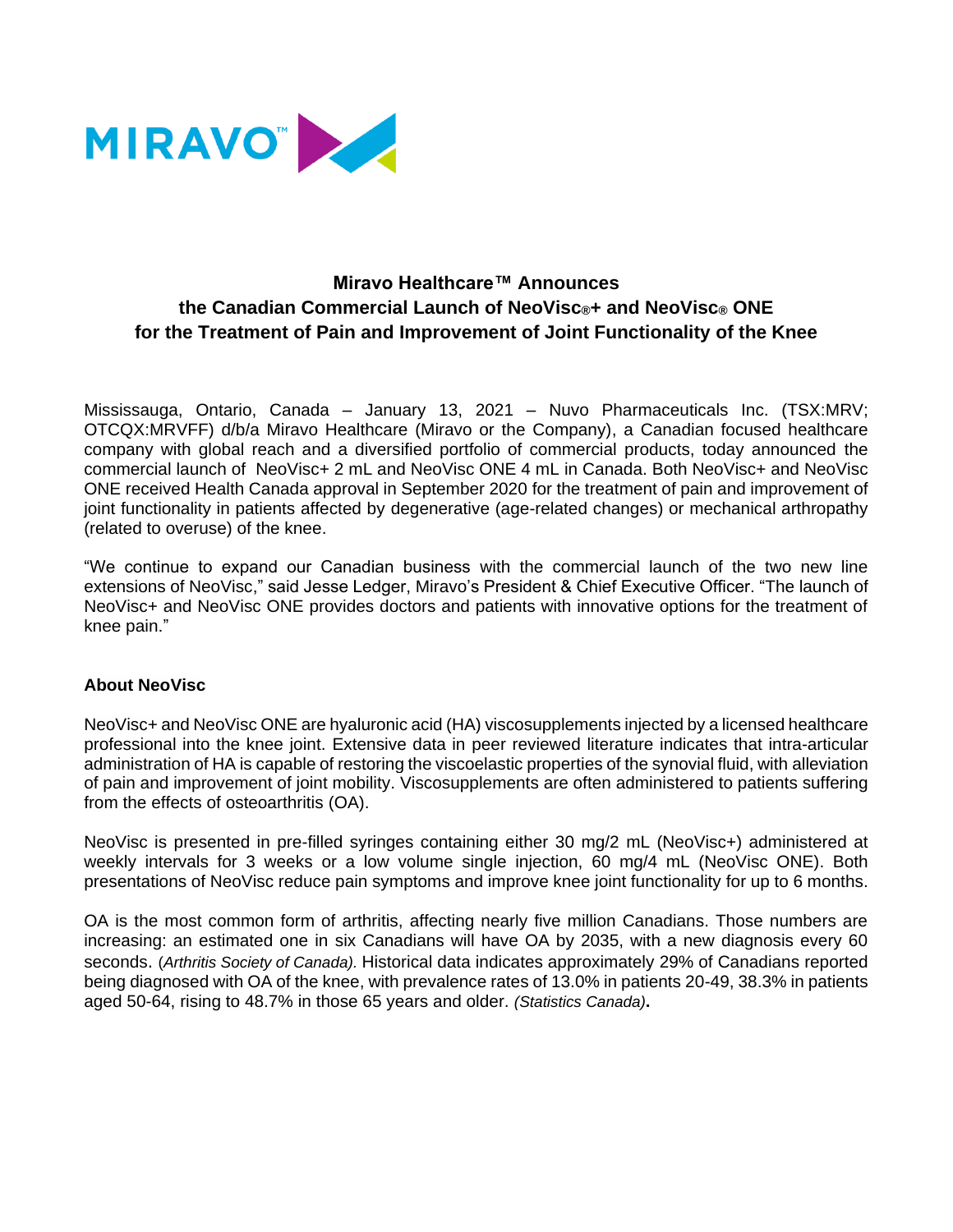

# **Miravo Healthcare™ Announces the Canadian Commercial Launch of NeoVisc®+ and NeoVisc® ONE for the Treatment of Pain and Improvement of Joint Functionality of the Knee**

Mississauga, Ontario, Canada – January 13, 2021 – Nuvo Pharmaceuticals Inc. (TSX:MRV; OTCQX:MRVFF) d/b/a Miravo Healthcare (Miravo or the Company), a Canadian focused healthcare company with global reach and a diversified portfolio of commercial products, today announced the commercial launch of NeoVisc+ 2 mL and NeoVisc ONE 4 mL in Canada. Both NeoVisc+ and NeoVisc ONE received Health Canada approval in September 2020 for the treatment of pain and improvement of joint functionality in patients affected by degenerative (age-related changes) or mechanical arthropathy (related to overuse) of the knee.

"We continue to expand our Canadian business with the commercial launch of the two new line extensions of NeoVisc," said Jesse Ledger, Miravo's President & Chief Executive Officer. "The launch of NeoVisc+ and NeoVisc ONE provides doctors and patients with innovative options for the treatment of knee pain."

## **About NeoVisc**

NeoVisc+ and NeoVisc ONE are hyaluronic acid (HA) viscosupplements injected by a licensed healthcare professional into the knee joint. Extensive data in peer reviewed literature indicates that intra-articular administration of HA is capable of restoring the viscoelastic properties of the synovial fluid, with alleviation of pain and improvement of joint mobility. Viscosupplements are often administered to patients suffering from the effects of osteoarthritis (OA).

NeoVisc is presented in pre-filled syringes containing either 30 mg/2 mL (NeoVisc+) administered at weekly intervals for 3 weeks or a low volume single injection, 60 mg/4 mL (NeoVisc ONE). Both presentations of NeoVisc reduce pain symptoms and improve knee joint functionality for up to 6 months.

OA is the most common form of arthritis, affecting nearly five million Canadians. Those numbers are increasing: an estimated one in six Canadians will have OA by 2035, with a new diagnosis every 60 seconds. (*Arthritis Society of Canada).* Historical data indicates approximately 29% of Canadians reported being diagnosed with OA of the knee, with prevalence rates of 13.0% in patients 20-49, 38.3% in patients aged 50-64, rising to 48.7% in those 65 years and older. *(Statistics Canada)***.**